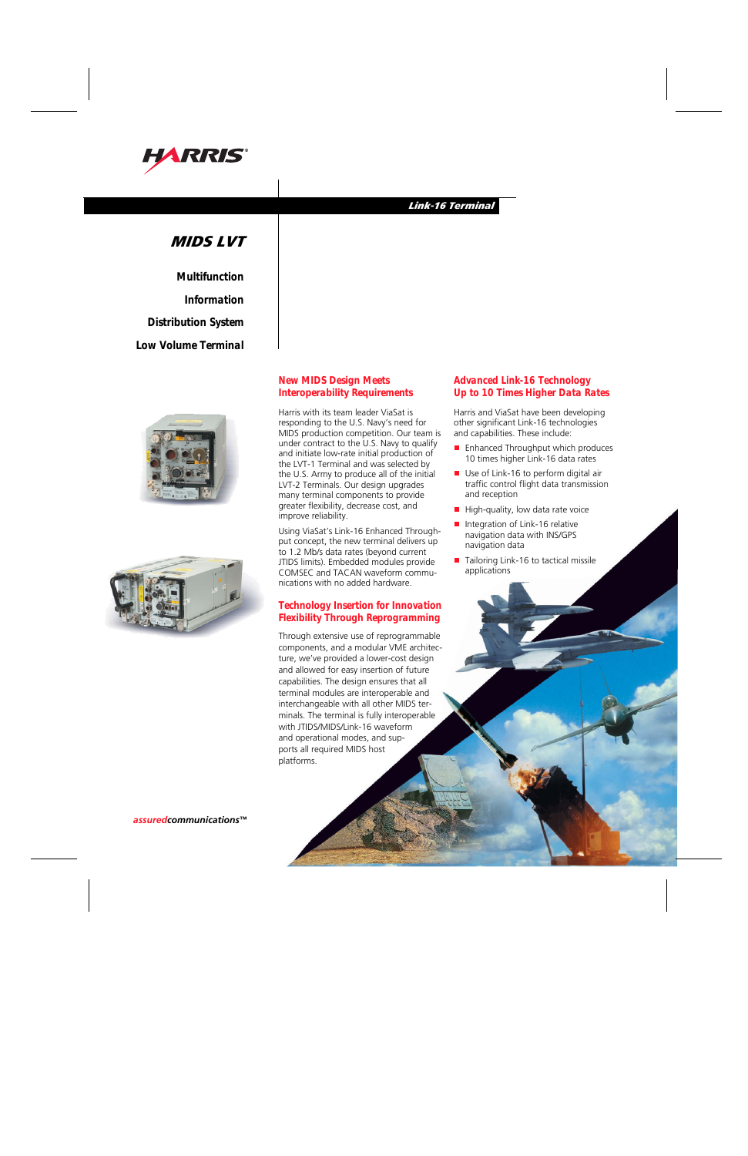

# Link-16 Terminal

# MIDS LVT

*Multifunction Information Distribution System Low Volume Terminal*





### *New MIDS Design Meets Interoperability Requirements*

Harris with its team leader ViaSat is responding to the U.S. Navy's need for MIDS production competition. Our team is under contract to the U.S. Navy to qualify and initiate low-rate initial production of the LVT-1 Terminal and was selected by the U.S. Army to produce all of the initial LVT-2 Terminals. Our design upgrades many terminal components to provide greater flexibility, decrease cost, and improve reliability.

Using ViaSat's Link-16 Enhanced Throughput concept, the new terminal delivers up to 1.2 Mb/s data rates (beyond current JTIDS limits). Embedded modules provide COMSEC and TACAN waveform communications with no added hardware.

#### *Technology Insertion for Innovation Flexibility Through Reprogramming*

Through extensive use of reprogrammable components, and a modular VME architecture, we've provided a lower-cost design and allowed for easy insertion of future capabilities. The design ensures that all terminal modules are interoperable and interchangeable with all other MIDS terminals. The terminal is fully interoperable with JTIDS/MIDS/Link-16 waveform and operational modes, and supports all required MIDS host platforms.

#### *Advanced Link-16 Technology Up to 10 Times Higher Data Rates*

Harris and ViaSat have been developing other significant Link-16 technologies and capabilities. These include:

- Enhanced Throughput which produces 10 times higher Link-16 data rates
- Use of Link-16 to perform digital air traffic control flight data transmission and reception
- $\blacksquare$  High-quality, low data rate voice
- Integration of Link-16 relative navigation data with INS/GPS navigation data
- $\blacksquare$ Tailoring Link-16 to tactical missile applications